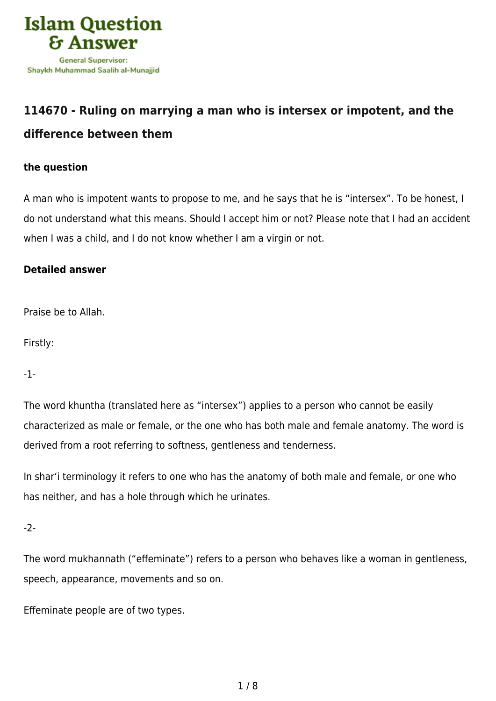

# **[114670 - Ruling on marrying a man who is intersex or impotent, and the](https://islamqa.com/en/answers/114670/ruling-on-marrying-a-man-who-is-intersex-or-impotent-and-the-difference-between-them)**

## **[difference between them](https://islamqa.com/en/answers/114670/ruling-on-marrying-a-man-who-is-intersex-or-impotent-and-the-difference-between-them)**

### **the question**

A man who is impotent wants to propose to me, and he says that he is "intersex". To be honest, I do not understand what this means. Should I accept him or not? Please note that I had an accident when I was a child, and I do not know whether I am a virgin or not.

## **Detailed answer**

Praise be to Allah.

Firstly:

-1-

The word khuntha (translated here as "intersex") applies to a person who cannot be easily characterized as male or female, or the one who has both male and female anatomy. The word is derived from a root referring to softness, gentleness and tenderness.

In shar'i terminology it refers to one who has the anatomy of both male and female, or one who has neither, and has a hole through which he urinates.

-2-

The word mukhannath ("effeminate") refers to a person who behaves like a woman in gentleness, speech, appearance, movements and so on.

Effeminate people are of two types.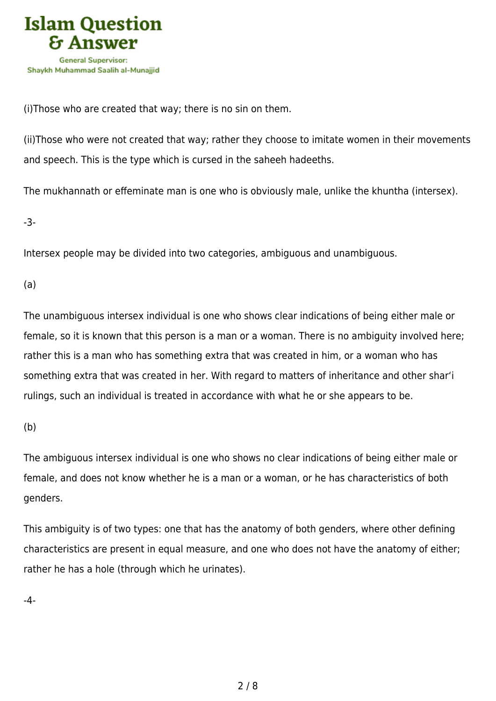

(i)Those who are created that way; there is no sin on them.

(ii)Those who were not created that way; rather they choose to imitate women in their movements and speech. This is the type which is cursed in the saheeh hadeeths.

The mukhannath or effeminate man is one who is obviously male, unlike the khuntha (intersex).

-3-

Intersex people may be divided into two categories, ambiguous and unambiguous.

(a)

The unambiguous intersex individual is one who shows clear indications of being either male or female, so it is known that this person is a man or a woman. There is no ambiguity involved here; rather this is a man who has something extra that was created in him, or a woman who has something extra that was created in her. With regard to matters of inheritance and other shar'i rulings, such an individual is treated in accordance with what he or she appears to be.

(b)

The ambiguous intersex individual is one who shows no clear indications of being either male or female, and does not know whether he is a man or a woman, or he has characteristics of both genders.

This ambiguity is of two types: one that has the anatomy of both genders, where other defining characteristics are present in equal measure, and one who does not have the anatomy of either; rather he has a hole (through which he urinates).

-4-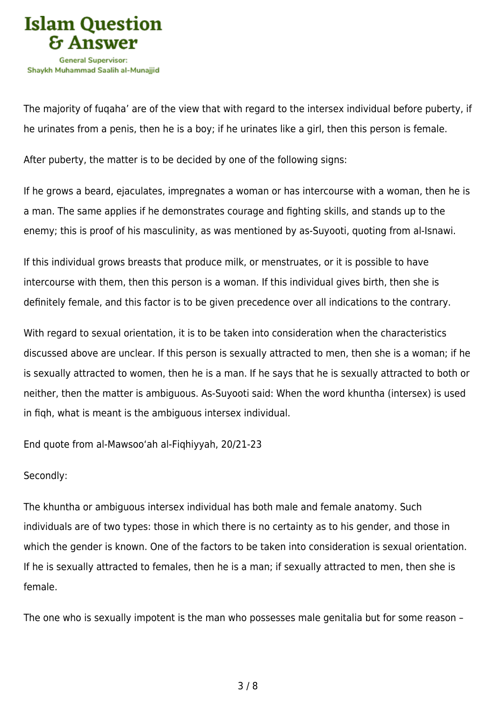

The majority of fuqaha' are of the view that with regard to the intersex individual before puberty, if he urinates from a penis, then he is a boy; if he urinates like a girl, then this person is female.

After puberty, the matter is to be decided by one of the following signs:

If he grows a beard, ejaculates, impregnates a woman or has intercourse with a woman, then he is a man. The same applies if he demonstrates courage and fighting skills, and stands up to the enemy; this is proof of his masculinity, as was mentioned by as-Suyooti, quoting from al-Isnawi.

If this individual grows breasts that produce milk, or menstruates, or it is possible to have intercourse with them, then this person is a woman. If this individual gives birth, then she is definitely female, and this factor is to be given precedence over all indications to the contrary.

With regard to sexual orientation, it is to be taken into consideration when the characteristics discussed above are unclear. If this person is sexually attracted to men, then she is a woman; if he is sexually attracted to women, then he is a man. If he says that he is sexually attracted to both or neither, then the matter is ambiguous. As-Suyooti said: When the word khuntha (intersex) is used in fiqh, what is meant is the ambiguous intersex individual.

End quote from al-Mawsoo'ah al-Fiqhiyyah, 20/21-23

#### Secondly:

The khuntha or ambiguous intersex individual has both male and female anatomy. Such individuals are of two types: those in which there is no certainty as to his gender, and those in which the gender is known. One of the factors to be taken into consideration is sexual orientation. If he is sexually attracted to females, then he is a man; if sexually attracted to men, then she is female.

The one who is sexually impotent is the man who possesses male genitalia but for some reason –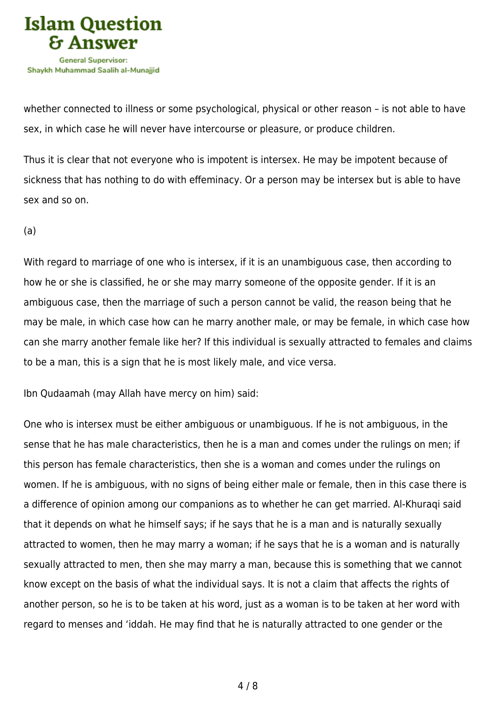

whether connected to illness or some psychological, physical or other reason – is not able to have sex, in which case he will never have intercourse or pleasure, or produce children.

Thus it is clear that not everyone who is impotent is intersex. He may be impotent because of sickness that has nothing to do with effeminacy. Or a person may be intersex but is able to have sex and so on.

(a)

With regard to marriage of one who is intersex, if it is an unambiguous case, then according to how he or she is classified, he or she may marry someone of the opposite gender. If it is an ambiguous case, then the marriage of such a person cannot be valid, the reason being that he may be male, in which case how can he marry another male, or may be female, in which case how can she marry another female like her? If this individual is sexually attracted to females and claims to be a man, this is a sign that he is most likely male, and vice versa.

Ibn Qudaamah (may Allah have mercy on him) said:

One who is intersex must be either ambiguous or unambiguous. If he is not ambiguous, in the sense that he has male characteristics, then he is a man and comes under the rulings on men; if this person has female characteristics, then she is a woman and comes under the rulings on women. If he is ambiguous, with no signs of being either male or female, then in this case there is a difference of opinion among our companions as to whether he can get married. Al-Khuraqi said that it depends on what he himself says; if he says that he is a man and is naturally sexually attracted to women, then he may marry a woman; if he says that he is a woman and is naturally sexually attracted to men, then she may marry a man, because this is something that we cannot know except on the basis of what the individual says. It is not a claim that affects the rights of another person, so he is to be taken at his word, just as a woman is to be taken at her word with regard to menses and 'iddah. He may find that he is naturally attracted to one gender or the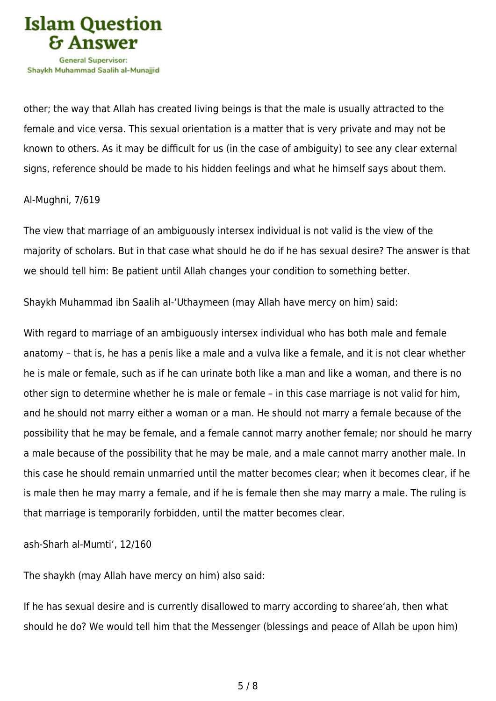

other; the way that Allah has created living beings is that the male is usually attracted to the female and vice versa. This sexual orientation is a matter that is very private and may not be known to others. As it may be difficult for us (in the case of ambiguity) to see any clear external signs, reference should be made to his hidden feelings and what he himself says about them.

#### Al-Mughni, 7/619

The view that marriage of an ambiguously intersex individual is not valid is the view of the majority of scholars. But in that case what should he do if he has sexual desire? The answer is that we should tell him: Be patient until Allah changes your condition to something better.

Shaykh Muhammad ibn Saalih al-'Uthaymeen (may Allah have mercy on him) said:

With regard to marriage of an ambiguously intersex individual who has both male and female anatomy – that is, he has a penis like a male and a vulva like a female, and it is not clear whether he is male or female, such as if he can urinate both like a man and like a woman, and there is no other sign to determine whether he is male or female – in this case marriage is not valid for him, and he should not marry either a woman or a man. He should not marry a female because of the possibility that he may be female, and a female cannot marry another female; nor should he marry a male because of the possibility that he may be male, and a male cannot marry another male. In this case he should remain unmarried until the matter becomes clear; when it becomes clear, if he is male then he may marry a female, and if he is female then she may marry a male. The ruling is that marriage is temporarily forbidden, until the matter becomes clear.

ash-Sharh al-Mumti', 12/160

The shaykh (may Allah have mercy on him) also said:

If he has sexual desire and is currently disallowed to marry according to sharee'ah, then what should he do? We would tell him that the Messenger (blessings and peace of Allah be upon him)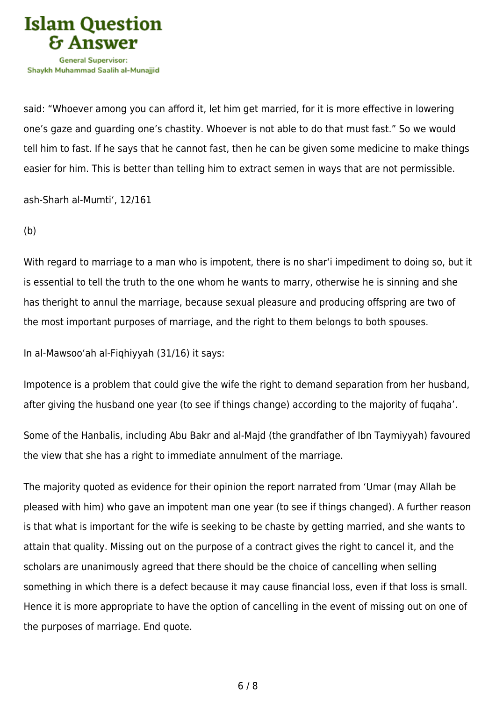

said: "Whoever among you can afford it, let him get married, for it is more effective in lowering one's gaze and guarding one's chastity. Whoever is not able to do that must fast." So we would tell him to fast. If he says that he cannot fast, then he can be given some medicine to make things easier for him. This is better than telling him to extract semen in ways that are not permissible.

ash-Sharh al-Mumti', 12/161

(b)

With regard to marriage to a man who is impotent, there is no shar'i impediment to doing so, but it is essential to tell the truth to the one whom he wants to marry, otherwise he is sinning and she has theright to annul the marriage, because sexual pleasure and producing offspring are two of the most important purposes of marriage, and the right to them belongs to both spouses.

In al-Mawsoo'ah al-Fiqhiyyah (31/16) it says:

Impotence is a problem that could give the wife the right to demand separation from her husband, after giving the husband one year (to see if things change) according to the majority of fuqaha'.

Some of the Hanbalis, including Abu Bakr and al-Majd (the grandfather of Ibn Taymiyyah) favoured the view that she has a right to immediate annulment of the marriage.

The majority quoted as evidence for their opinion the report narrated from 'Umar (may Allah be pleased with him) who gave an impotent man one year (to see if things changed). A further reason is that what is important for the wife is seeking to be chaste by getting married, and she wants to attain that quality. Missing out on the purpose of a contract gives the right to cancel it, and the scholars are unanimously agreed that there should be the choice of cancelling when selling something in which there is a defect because it may cause financial loss, even if that loss is small. Hence it is more appropriate to have the option of cancelling in the event of missing out on one of the purposes of marriage. End quote.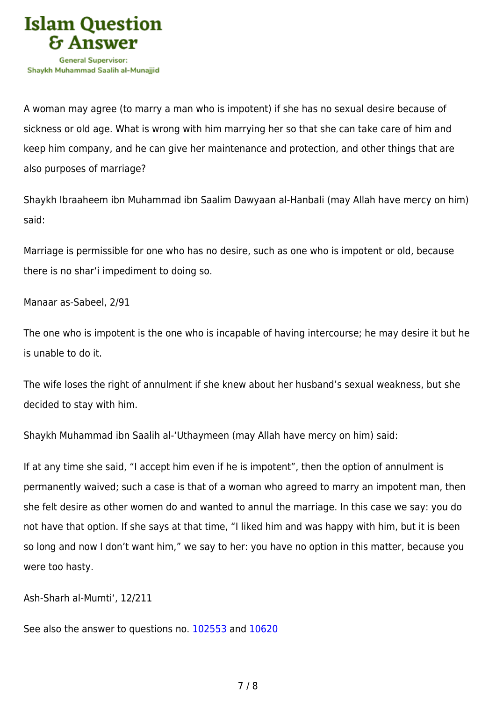

A woman may agree (to marry a man who is impotent) if she has no sexual desire because of sickness or old age. What is wrong with him marrying her so that she can take care of him and keep him company, and he can give her maintenance and protection, and other things that are also purposes of marriage?

Shaykh Ibraaheem ibn Muhammad ibn Saalim Dawyaan al-Hanbali (may Allah have mercy on him) said:

Marriage is permissible for one who has no desire, such as one who is impotent or old, because there is no shar'i impediment to doing so.

Manaar as-Sabeel, 2/91

The one who is impotent is the one who is incapable of having intercourse; he may desire it but he is unable to do it.

The wife loses the right of annulment if she knew about her husband's sexual weakness, but she decided to stay with him.

Shaykh Muhammad ibn Saalih al-'Uthaymeen (may Allah have mercy on him) said:

If at any time she said, "I accept him even if he is impotent", then the option of annulment is permanently waived; such a case is that of a woman who agreed to marry an impotent man, then she felt desire as other women do and wanted to annul the marriage. In this case we say: you do not have that option. If she says at that time, "I liked him and was happy with him, but it is been so long and now I don't want him," we say to her: you have no option in this matter, because you were too hasty.

Ash-Sharh al-Mumti', 12/211

See also the answer to questions no. [102553](https://islamqa.com/en/answers/102553) and [10620](https://islamqa.com/en/answers/10620)